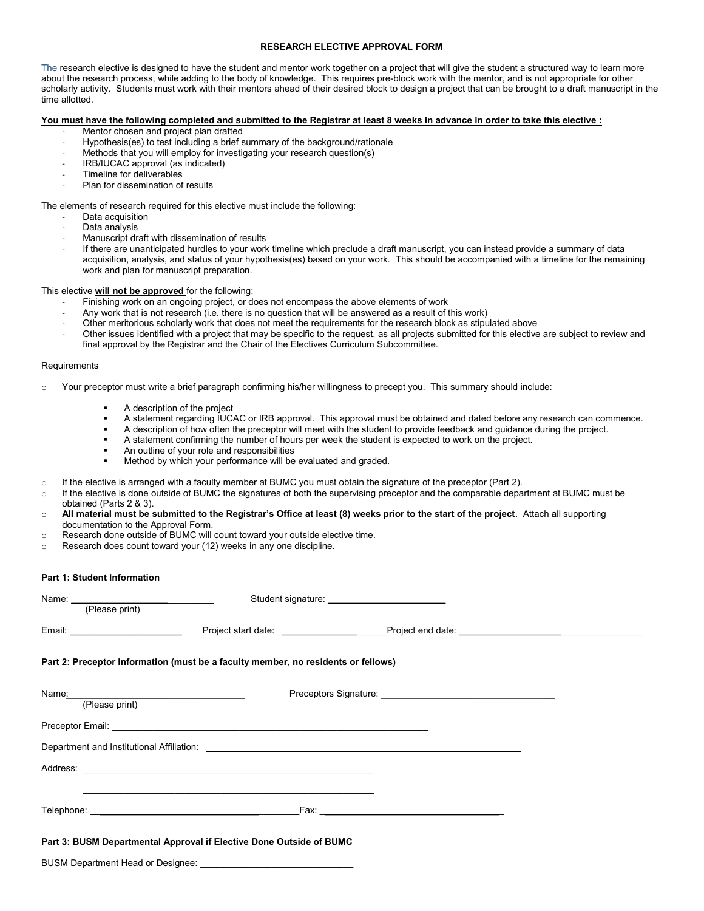## RESEARCH ELECTIVE APPROVAL FORM

The research elective is designed to have the student and mentor work together on a project that will give the student a structured way to learn more about the research process, while adding to the body of knowledge. This requires pre-block work with the mentor, and is not appropriate for other scholarly activity. Students must work with their mentors ahead of their desired block to design a project that can be brought to a draft manuscript in the time allotted.

### You must have the following completed and submitted to the Registrar at least 8 weeks in advance in order to take this elective :

- Mentor chosen and project plan drafted
- Hypothesis(es) to test including a brief summary of the background/rationale
- Methods that you will employ for investigating your research question(s)
- IRB/IUCAC approval (as indicated)
- Timeline for deliverables
- Plan for dissemination of results

#### The elements of research required for this elective must include the following:

- Data acquisition
- Data analysis
- Manuscript draft with dissemination of results
- If there are unanticipated hurdles to your work timeline which preclude a draft manuscript, you can instead provide a summary of data acquisition, analysis, and status of your hypothesis(es) based on your work. This should be accompanied with a timeline for the remaining work and plan for manuscript preparation.

### This elective **will not be approved** for the following:

- Finishing work on an ongoing project, or does not encompass the above elements of work
- Any work that is not research (i.e. there is no question that will be answered as a result of this work)
- Other meritorious scholarly work that does not meet the requirements for the research block as stipulated above
- Other issues identified with a project that may be specific to the request, as all projects submitted for this elective are subject to review and final approval by the Registrar and the Chair of the Electives Curriculum Subcommittee.

#### **Requirements**

- $\circ$  Your preceptor must write a brief paragraph confirming his/her willingness to precept you. This summary should include:
	- A description of the project
	- A statement regarding IUCAC or IRB approval. This approval must be obtained and dated before any research can commence.
	- A description of how often the preceptor will meet with the student to provide feedback and guidance during the project.
	- A statement confirming the number of hours per week the student is expected to work on the project.
	- An outline of your role and responsibilities
	- Method by which your performance will be evaluated and graded.
- $\circ$  If the elective is arranged with a faculty member at BUMC you must obtain the signature of the preceptor (Part 2).
- o If the elective is done outside of BUMC the signatures of both the supervising preceptor and the comparable department at BUMC must be obtained (Parts 2 & 3).
- o All material must be submitted to the Registrar's Office at least (8) weeks prior to the start of the project. Attach all supporting documentation to the Approval Form.
- o Research done outside of BUMC will count toward your outside elective time.
- $\circ$  Research does count toward your (12) weeks in any one discipline.

# Part 1: Student Information

| (Please print)                                                                    |                                                                                                                       |                                                                |  |
|-----------------------------------------------------------------------------------|-----------------------------------------------------------------------------------------------------------------------|----------------------------------------------------------------|--|
|                                                                                   |                                                                                                                       | Project start date: <u>Project end date:</u> Project end date: |  |
| Part 2: Preceptor Information (must be a faculty member, no residents or fellows) |                                                                                                                       |                                                                |  |
| Name: (Please print)                                                              |                                                                                                                       |                                                                |  |
|                                                                                   |                                                                                                                       |                                                                |  |
|                                                                                   |                                                                                                                       |                                                                |  |
|                                                                                   |                                                                                                                       |                                                                |  |
|                                                                                   | <u> 1990 - Jan James James James James James James James James James James James James James James James James Ja</u> |                                                                |  |
| Part 3: BUSM Departmental Approval if Elective Done Outside of BUMC               |                                                                                                                       |                                                                |  |

BUSM Department Head or Designee: